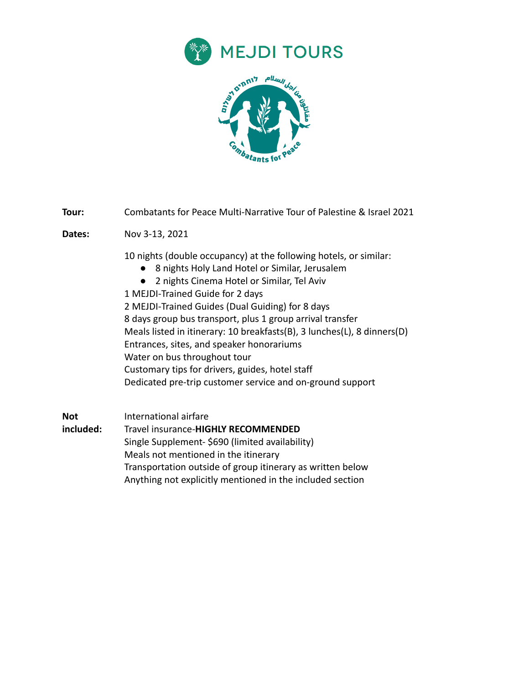



**Tour:** Combatants for Peace Multi-Narrative Tour of Palestine & Israel 2021

**Dates:** Nov 3-13, 2021

10 nights (double occupancy) at the following hotels, or similar:

- 8 nights Holy Land Hotel or Similar, Jerusalem
- 2 nights Cinema Hotel or Similar, Tel Aviv
- 1 MEJDI-Trained Guide for 2 days

2 MEJDI-Trained Guides (Dual Guiding) for 8 days 8 days group bus transport, plus 1 group arrival transfer Meals listed in itinerary: 10 breakfasts(B), 3 lunches(L), 8 dinners(D) Entrances, sites, and speaker honorariums Water on bus throughout tour Customary tips for drivers, guides, hotel staff Dedicated pre-trip customer service and on-ground support

**Not included:** International airfare Travel insurance-**HIGHLY RECOMMENDED** Single Supplement- \$690 (limited availability) Meals not mentioned in the itinerary Transportation outside of group itinerary as written below Anything not explicitly mentioned in the included section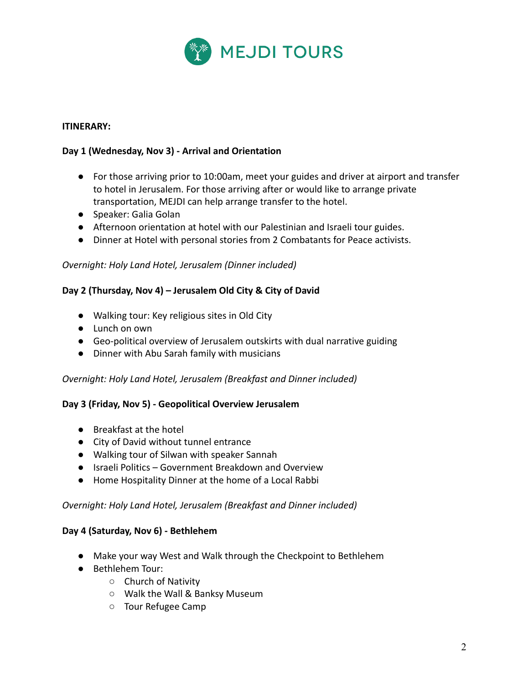

## **ITINERARY:**

## **Day 1 (Wednesday, Nov 3) - Arrival and Orientation**

- For those arriving prior to 10:00am, meet your guides and driver at airport and transfer to hotel in Jerusalem. For those arriving after or would like to arrange private transportation, MEJDI can help arrange transfer to the hotel.
- Speaker: Galia Golan
- Afternoon orientation at hotel with our Palestinian and Israeli tour guides.
- Dinner at Hotel with personal stories from 2 Combatants for Peace activists.

#### *Overnight: Holy Land Hotel, Jerusalem (Dinner included)*

#### **Day 2 (Thursday, Nov 4) – Jerusalem Old City & City of David**

- Walking tour: Key religious sites in Old City
- Lunch on own
- Geo-political overview of Jerusalem outskirts with dual narrative guiding
- Dinner with Abu Sarah family with musicians

#### *Overnight: Holy Land Hotel, Jerusalem (Breakfast and Dinner included)*

#### **Day 3 (Friday, Nov 5) - Geopolitical Overview Jerusalem**

- Breakfast at the hotel
- City of David without tunnel entrance
- Walking tour of Silwan with speaker Sannah
- Israeli Politics Government Breakdown and Overview
- Home Hospitality Dinner at the home of a Local Rabbi

### *Overnight: Holy Land Hotel, Jerusalem (Breakfast and Dinner included)*

#### **Day 4 (Saturday, Nov 6) - Bethlehem**

- Make your way West and Walk through the Checkpoint to Bethlehem
- Bethlehem Tour:
	- Church of Nativity
	- Walk the Wall & Banksy Museum
	- Tour Refugee Camp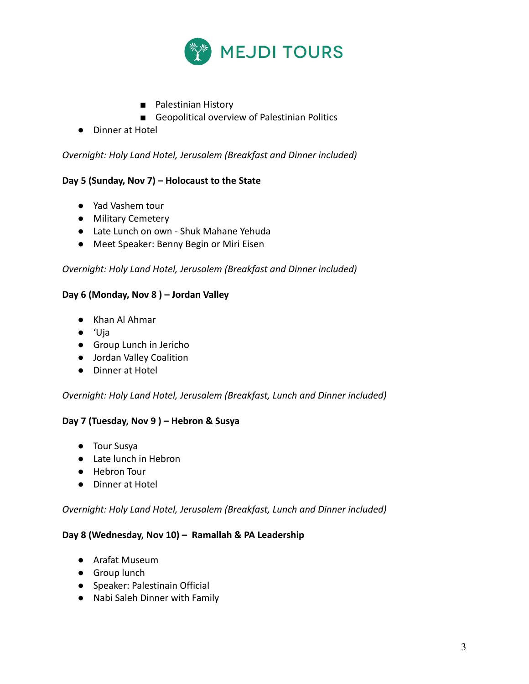

- Palestinian History
- Geopolitical overview of Palestinian Politics
- Dinner at Hotel

*Overnight: Holy Land Hotel, Jerusalem (Breakfast and Dinner included)*

## **Day 5 (Sunday, Nov 7) – Holocaust to the State**

- Yad Vashem tour
- Military Cemetery
- Late Lunch on own Shuk Mahane Yehuda
- Meet Speaker: Benny Begin or Miri Eisen

### *Overnight: Holy Land Hotel, Jerusalem (Breakfast and Dinner included)*

### **Day 6 (Monday, Nov 8 ) – Jordan Valley**

- Khan Al Ahmar
- 'Uja
- Group Lunch in Jericho
- Jordan Valley Coalition
- Dinner at Hotel

#### *Overnight: Holy Land Hotel, Jerusalem (Breakfast, Lunch and Dinner included)*

## **Day 7 (Tuesday, Nov 9 ) – Hebron & Susya**

- Tour Susya
- Late lunch in Hebron
- Hebron Tour
- Dinner at Hotel

#### *Overnight: Holy Land Hotel, Jerusalem (Breakfast, Lunch and Dinner included)*

#### **Day 8 (Wednesday, Nov 10) – Ramallah & PA Leadership**

- Arafat Museum
- **•** Group lunch
- Speaker: Palestinain Official
- Nabi Saleh Dinner with Family